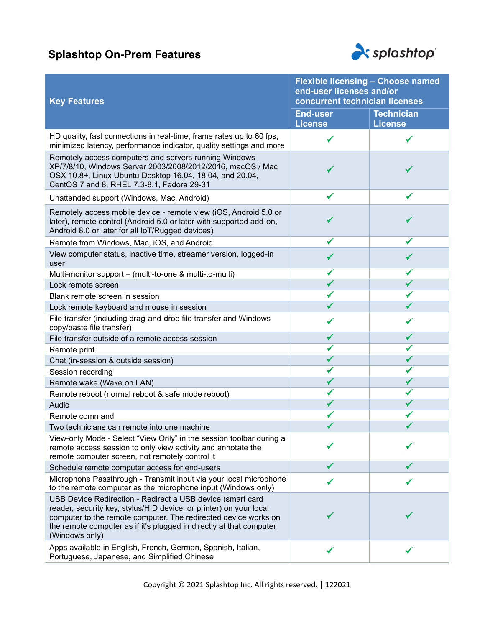## **Splashtop On-Prem Features**



| <b>Key Features</b>                                                                                                                                                                                                                                                                          | <b>Flexible licensing - Choose named</b><br>end-user licenses and/or<br>concurrent technician licenses |                                     |
|----------------------------------------------------------------------------------------------------------------------------------------------------------------------------------------------------------------------------------------------------------------------------------------------|--------------------------------------------------------------------------------------------------------|-------------------------------------|
|                                                                                                                                                                                                                                                                                              | <b>End-user</b><br><b>License</b>                                                                      | <b>Technician</b><br><b>License</b> |
| HD quality, fast connections in real-time, frame rates up to 60 fps,<br>minimized latency, performance indicator, quality settings and more                                                                                                                                                  |                                                                                                        | ✓                                   |
| Remotely access computers and servers running Windows<br>XP/7/8/10, Windows Server 2003/2008/2012/2016, macOS / Mac<br>OSX 10.8+, Linux Ubuntu Desktop 16.04, 18.04, and 20.04,<br>CentOS 7 and 8, RHEL 7.3-8.1, Fedora 29-31                                                                |                                                                                                        |                                     |
| Unattended support (Windows, Mac, Android)                                                                                                                                                                                                                                                   | ✔                                                                                                      | ✓                                   |
| Remotely access mobile device - remote view (iOS, Android 5.0 or<br>later), remote control (Android 5.0 or later with supported add-on,<br>Android 8.0 or later for all loT/Rugged devices)                                                                                                  |                                                                                                        | ✓                                   |
| Remote from Windows, Mac, iOS, and Android                                                                                                                                                                                                                                                   |                                                                                                        |                                     |
| View computer status, inactive time, streamer version, logged-in<br>user                                                                                                                                                                                                                     |                                                                                                        | ✓                                   |
| Multi-monitor support - (multi-to-one & multi-to-multi)                                                                                                                                                                                                                                      | ✓                                                                                                      |                                     |
| Lock remote screen                                                                                                                                                                                                                                                                           |                                                                                                        |                                     |
| Blank remote screen in session                                                                                                                                                                                                                                                               | ✔                                                                                                      |                                     |
| Lock remote keyboard and mouse in session                                                                                                                                                                                                                                                    | ✓                                                                                                      | ✓                                   |
| File transfer (including drag-and-drop file transfer and Windows<br>copy/paste file transfer)                                                                                                                                                                                                | ✔                                                                                                      | ✔                                   |
| File transfer outside of a remote access session                                                                                                                                                                                                                                             | ✔                                                                                                      |                                     |
| Remote print                                                                                                                                                                                                                                                                                 | ✔                                                                                                      |                                     |
| Chat (in-session & outside session)                                                                                                                                                                                                                                                          | ✓                                                                                                      |                                     |
| Session recording                                                                                                                                                                                                                                                                            | ✔                                                                                                      |                                     |
| Remote wake (Wake on LAN)                                                                                                                                                                                                                                                                    | $\checkmark$                                                                                           | $\checkmark$                        |
| Remote reboot (normal reboot & safe mode reboot)                                                                                                                                                                                                                                             | ✓                                                                                                      | ✓                                   |
| Audio                                                                                                                                                                                                                                                                                        |                                                                                                        |                                     |
| Remote command                                                                                                                                                                                                                                                                               |                                                                                                        |                                     |
| Two technicians can remote into one machine                                                                                                                                                                                                                                                  |                                                                                                        |                                     |
| View-only Mode - Select "View Only" in the session toolbar during a<br>remote access session to only view activity and annotate the<br>remote computer screen, not remotely control it                                                                                                       |                                                                                                        |                                     |
| Schedule remote computer access for end-users                                                                                                                                                                                                                                                |                                                                                                        |                                     |
| Microphone Passthrough - Transmit input via your local microphone<br>to the remote computer as the microphone input (Windows only)                                                                                                                                                           |                                                                                                        |                                     |
| USB Device Redirection - Redirect a USB device (smart card<br>reader, security key, stylus/HID device, or printer) on your local<br>computer to the remote computer. The redirected device works on<br>the remote computer as if it's plugged in directly at that computer<br>(Windows only) |                                                                                                        |                                     |
| Apps available in English, French, German, Spanish, Italian,<br>Portuguese, Japanese, and Simplified Chinese                                                                                                                                                                                 |                                                                                                        |                                     |